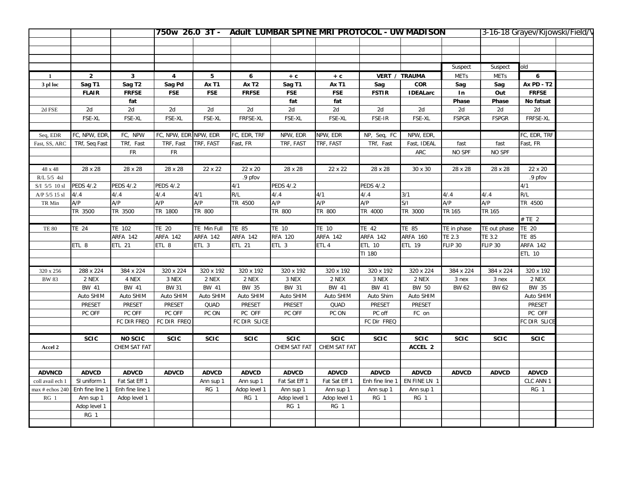|                                   |                  |                    |                       |                    |                    |                    |                    | 750w 26.0 3T - Adult LUMBAR SPINE MRI PROTOCOL - UW MADISON |                      |                    | 3-16-18 Grayev/Kijowski/Field/V |                           |  |
|-----------------------------------|------------------|--------------------|-----------------------|--------------------|--------------------|--------------------|--------------------|-------------------------------------------------------------|----------------------|--------------------|---------------------------------|---------------------------|--|
|                                   |                  |                    |                       |                    |                    |                    |                    |                                                             |                      |                    |                                 |                           |  |
|                                   |                  |                    |                       |                    |                    |                    |                    |                                                             |                      |                    |                                 |                           |  |
|                                   |                  |                    |                       |                    |                    |                    |                    |                                                             |                      |                    |                                 |                           |  |
|                                   |                  |                    |                       |                    |                    |                    |                    |                                                             |                      | Suspect            | Suspect                         | old                       |  |
| -1                                | $\overline{2}$   | $\mathbf{3}$       | 4                     | 5                  | 6                  | $+ c$              | $+ c$              |                                                             | <b>VERT / TRAUMA</b> | <b>METs</b>        | <b>METs</b>                     | 6                         |  |
| 3 pl loc                          | Sag T1           | Sag T <sub>2</sub> | Sag Pd                | Ax T1              | Ax T <sub>2</sub>  | Sag T1             | Ax T1              | Sag                                                         | COR                  | Sag                | Sag                             | <b>Ax PD - T2</b>         |  |
|                                   | <b>FLAIR</b>     | <b>FRFSE</b>       | <b>FSE</b>            | <b>FSE</b>         | <b>FRFSE</b>       | <b>FSE</b>         | <b>FSE</b>         | <b>FSTIR</b>                                                | <b>IDEALarc</b>      | In                 | Out                             | <b>FRFSE</b>              |  |
|                                   |                  | fat                |                       |                    |                    | fat                | fat                |                                                             |                      | Phase              | Phase                           | No fatsat                 |  |
| 2d FSE                            | 2d               | 2d                 | 2d                    | 2d                 | 2d                 | 2d                 | 2d                 | 2d                                                          | 2d                   | 2d                 | 2d                              | 2d                        |  |
|                                   | FSE-XL           | FSE-XL             | FSE-XL                | FSE-XL             | FRFSE-XL           | FSE-XL             | FSE-XL             | FSE-IR                                                      | FSE-XL               | <b>FSPGR</b>       | <b>FSPGR</b>                    | FRFSE-XL                  |  |
|                                   |                  |                    |                       |                    |                    |                    |                    |                                                             |                      |                    |                                 |                           |  |
| Seq, EDR                          | FC, NPW, EDR     | FC, NPW            | FC, NPW, EDR NPW, EDR |                    | FC, EDR, TRF       | NPW, EDR           | NPW, EDR           | NP, Seq, FC                                                 | NPW, EDR,            |                    |                                 | FC, EDR, TRF              |  |
| Fast, SS, ARC                     | TRf, Seq Fast    | TRf, Fast          | TRF, Fast             | TRF, FAST          | Fast, FR           | TRF, FAST          | TRF, FAST          | TRf, Fast                                                   | Fast, IDEAL          | fast               | fast                            | Fast, FR                  |  |
|                                   |                  | <b>FR</b>          | <b>FR</b>             |                    |                    |                    |                    |                                                             | ARC                  | NO SPF             | NO SPF                          |                           |  |
|                                   |                  |                    |                       |                    |                    |                    |                    |                                                             |                      |                    |                                 |                           |  |
| 48 x 48                           | 28 x 28          | 28 x 28            | 28 x 28               | 22 x 22            | 22 x 20            | 28 x 28            | 22 x 22            | 28 x 28                                                     | 30 x 30              | 28 x 28            | 28 x 28                         | 22 x 20                   |  |
| R/L 5/5 4sl                       |                  |                    |                       |                    | .9 pfov            |                    |                    |                                                             |                      |                    |                                 | .9 pfov                   |  |
| $\mathrm{S}/\mathrm{I}$ 5/5 10 sl | <b>PEDS 4/.2</b> | <b>PEDS 4/.2</b>   | <b>PEDS 4/.2</b>      |                    | 4/1                | <b>PEDS 4/.2</b>   |                    | <b>PEDS 4/.2</b>                                            |                      |                    |                                 | 4/1                       |  |
| A/P 5/5 15 sl                     | 4/4              | 4/.4               | 4/4                   | 4/1                | R/L                | 4/.4               | 4/1                | 4/4                                                         | 3/1                  | 4/0.4              | 4/0.4                           | R/L                       |  |
| TR Min                            | A/P              | A/P                | A/P                   | A/P                | TR 4500            | A/P                | A/P                | A/P                                                         | S/I                  | A/P                | A/P                             | TR 4500                   |  |
|                                   | TR 3500          | TR 3500            | TR 1800               | TR 800             |                    | TR 800             | TR 800             | TR 4000                                                     | TR 3000              | TR 165             | TR 165                          |                           |  |
|                                   |                  |                    |                       |                    |                    |                    |                    |                                                             |                      |                    |                                 | # TE 2                    |  |
| <b>TE 80</b>                      | <b>TE 24</b>     | TE 102             | TE 20                 | TE Min Full        | <b>TE 85</b>       | TE 10              | TE 10              | <b>TE 42</b>                                                | TE 85                | TE in phase        | TE out phase                    | TE 20                     |  |
|                                   |                  | ARFA 142           | ARFA 142              | ARFA 142           | ARFA 142           | RFA 120            | <b>ARFA 142</b>    | ARFA 142                                                    | <b>ARFA 160</b>      | TE 2.3             | TE 3.2                          | TE 85                     |  |
|                                   | ETL 8            | ETL 21             | ETL 8                 | ETL 3              | ETL 21             | ETL 3              | ETL 4              | <b>ETL 10</b>                                               | ETL 19               | <b>FLIP 30</b>     | <b>FLIP 30</b>                  | <b>ARFA 142</b>           |  |
|                                   |                  |                    |                       |                    |                    |                    |                    | TI 180                                                      |                      |                    |                                 | <b>ETL 10</b>             |  |
|                                   | 288 x 224        |                    |                       |                    |                    |                    |                    |                                                             |                      |                    | 384 x 224                       |                           |  |
| 320 x 256<br><b>BW 83</b>         | 2 NEX            | 384 x 224<br>4 NEX | 320 x 224<br>3 NEX    | 320 x 192<br>2 NEX | 320 x 192<br>2 NEX | 320 x 192<br>3 NEX | 320 x 192<br>2 NEX | 320 x 192<br>3 NEX                                          | 320 x 224<br>2 NEX   | 384 x 224<br>3 nex | 3 nex                           | 320 x 192<br>$2$ NEX $\,$ |  |
|                                   | BW 41            | BW 41              | <b>BW 31</b>          | BW 41              | BW 35              | BW 31              | BW 41              | BW 41                                                       | BW 50                | BW 62              | BW 62                           | BW 35                     |  |
|                                   | Auto SHIM        | Auto SHIM          | Auto SHIM             | Auto SHIM          | Auto SHIM          | Auto SHIM          | Auto SHIM          | Auto Shim                                                   | Auto SHIM            |                    |                                 | Auto SHIM                 |  |
|                                   | PRESET           | PRESET             | PRESET                | QUAD               | PRESET             | PRESET             | QUAD               | PRESET                                                      | PRESET               |                    |                                 | PRESET                    |  |
|                                   | PC OFF           | PC OFF             | PC OFF                | PC ON              | PC OFF             | PC OFF             | PC ON              | PC off                                                      | FC on                |                    |                                 | PC OFF                    |  |
|                                   |                  | FC DIR FREQ        | FC DIR FREQ           |                    | FC DIR SLICE       |                    |                    | FC Dir FREQ                                                 |                      |                    |                                 | FC DIR SLICE              |  |
|                                   |                  |                    |                       |                    |                    |                    |                    |                                                             |                      |                    |                                 |                           |  |
|                                   | <b>SCIC</b>      | <b>NO SCIC</b>     | <b>SCIC</b>           | <b>SCIC</b>        | SCIC               | <b>SCIC</b>        | <b>SCIC</b>        | <b>SCIC</b>                                                 | <b>SCIC</b>          | <b>SCIC</b>        | <b>SCIC</b>                     | <b>SCIC</b>               |  |
| Accel 2                           |                  | CHEM SAT FAT       |                       |                    |                    | CHEM SAT FAT       | CHEM SAT FAT       |                                                             | ACCEL 2              |                    |                                 |                           |  |
|                                   |                  |                    |                       |                    |                    |                    |                    |                                                             |                      |                    |                                 |                           |  |
|                                   |                  |                    |                       |                    |                    |                    |                    |                                                             |                      |                    |                                 |                           |  |
| <b>ADVNCD</b>                     | <b>ADVCD</b>     | <b>ADVCD</b>       | <b>ADVCD</b>          | <b>ADVCD</b>       | <b>ADVCD</b>       | <b>ADVCD</b>       | <b>ADVCD</b>       | <b>ADVCD</b>                                                | <b>ADVCD</b>         | <b>ADVCD</b>       | <b>ADVCD</b>                    | <b>ADVCD</b>              |  |
| coll avail ech 1                  | SI uniform 1     | Fat Sat Eff 1      |                       | Ann sup 1          | Ann sup 1          | Fat Sat Eff 1      | Fat Sat Eff 1      | Enh fine line 1                                             | EN FINE LN 1         |                    |                                 | CLC ANN 1                 |  |
| max # echos 240                   | Enh fine line 1  | Enh fine line 1    |                       | RG 1               | Adop level 1       | Ann sup 1          | Ann sup 1          | Ann sup 1                                                   | Ann sup 1            |                    |                                 | RG 1                      |  |
| $RG_1$                            | Ann sup 1        | Adop level 1       |                       |                    | RG 1               | Adop level 1       | Adop level 1       | RG 1                                                        | RG 1                 |                    |                                 |                           |  |
|                                   | Adop level 1     |                    |                       |                    |                    | RG 1               | RG 1               |                                                             |                      |                    |                                 |                           |  |
|                                   | RG 1             |                    |                       |                    |                    |                    |                    |                                                             |                      |                    |                                 |                           |  |
|                                   |                  |                    |                       |                    |                    |                    |                    |                                                             |                      |                    |                                 |                           |  |